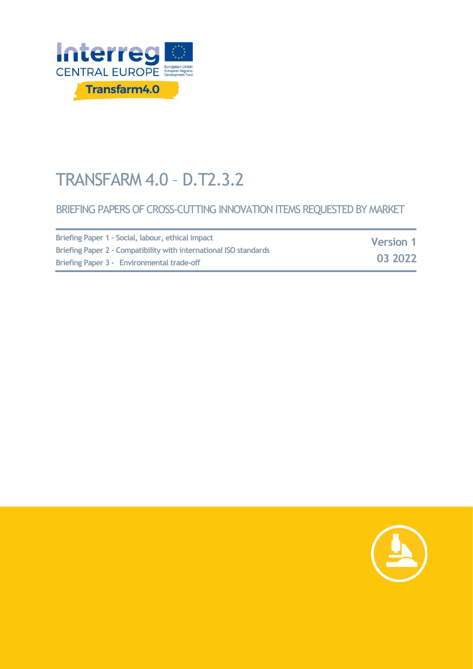

# TRANSFARM 4.0 – D.T2.3.2

#### BRIEFING PAPERS OF CROSS-CUTTING INNOVATION ITEMS REQUESTED BY MARKET

| Briefing Paper 1 - Social, labour, ethical impact                 | <b>Version 1</b><br>03 2022 |
|-------------------------------------------------------------------|-----------------------------|
| Briefing Paper 2 - Compatibility with international ISO standards |                             |
| Briefing Paper 3 - Environmental trade-off                        |                             |

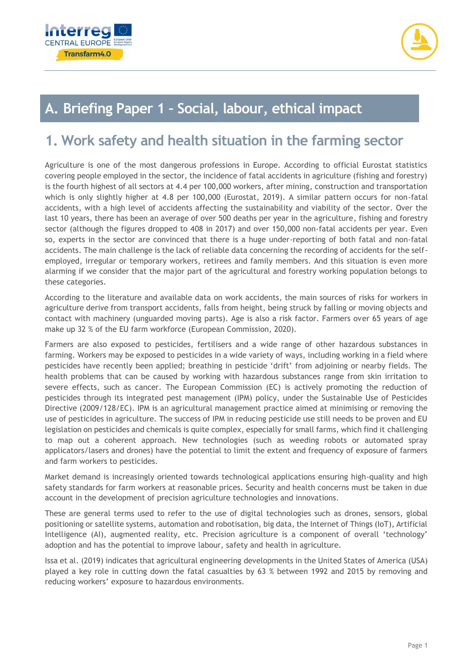



# **A. Briefing Paper 1 – Social, labour, ethical impact**

# **1. Work safety and health situation in the farming sector**

Agriculture is one of the most dangerous professions in Europe. According to official Eurostat statistics covering people employed in the sector, the incidence of fatal accidents in agriculture (fishing and forestry) is the fourth highest of all sectors at 4.4 per 100,000 workers, after mining, construction and transportation which is only slightly higher at 4.8 per 100,000 (Eurostat, 2019). A similar pattern occurs for non-fatal accidents, with a high level of accidents affecting the sustainability and viability of the sector. Over the last 10 years, there has been an average of over 500 deaths per year in the agriculture, fishing and forestry sector (although the figures dropped to 408 in 2017) and over 150,000 non-fatal accidents per year. Even so, experts in the sector are convinced that there is a huge under-reporting of both fatal and non-fatal accidents. The main challenge is the lack of reliable data concerning the recording of accidents for the selfemployed, irregular or temporary workers, retirees and family members. And this situation is even more alarming if we consider that the major part of the agricultural and forestry working population belongs to these categories.

According to the literature and available data on work accidents, the main sources of risks for workers in agriculture derive from transport accidents, falls from height, being struck by falling or moving objects and contact with machinery (unguarded moving parts). Age is also a risk factor. Farmers over 65 years of age make up 32 % of the EU farm workforce (European Commission, 2020).

Farmers are also exposed to pesticides, fertilisers and a wide range of other hazardous substances in farming. Workers may be exposed to pesticides in a wide variety of ways, including working in a field where pesticides have recently been applied; breathing in pesticide 'drift' from adjoining or nearby fields. The health problems that can be caused by working with hazardous substances range from skin irritation to severe effects, such as cancer. The European Commission (EC) is actively promoting the reduction of pesticides through its integrated pest management (IPM) policy, under the Sustainable Use of Pesticides Directive (2009/128/EC). IPM is an agricultural management practice aimed at minimising or removing the use of pesticides in agriculture. The success of IPM in reducing pesticide use still needs to be proven and EU legislation on pesticides and chemicals is quite complex, especially for small farms, which find it challenging to map out a coherent approach. New technologies (such as weeding robots or automated spray applicators/lasers and drones) have the potential to limit the extent and frequency of exposure of farmers and farm workers to pesticides.

Market demand is increasingly oriented towards technological applications ensuring high-quality and high safety standards for farm workers at reasonable prices. Security and health concerns must be taken in due account in the development of precision agriculture technologies and innovations.

These are general terms used to refer to the use of digital technologies such as drones, sensors, global positioning or satellite systems, automation and robotisation, big data, the Internet of Things (IoT), Artificial Intelligence (AI), augmented reality, etc. Precision agriculture is a component of overall 'technology' adoption and has the potential to improve labour, safety and health in agriculture.

Issa et al. (2019) indicates that agricultural engineering developments in the United States of America (USA) played a key role in cutting down the fatal casualties by 63 % between 1992 and 2015 by removing and reducing workers' exposure to hazardous environments.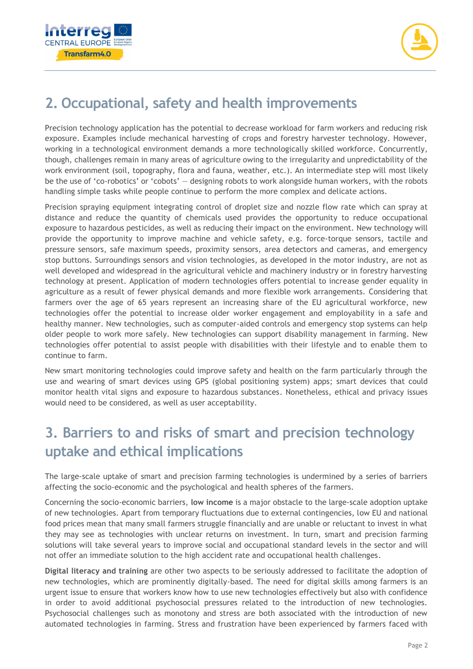



# **2. Occupational, safety and health improvements**

Precision technology application has the potential to decrease workload for farm workers and reducing risk exposure. Examples include mechanical harvesting of crops and forestry harvester technology. However, working in a technological environment demands a more technologically skilled workforce. Concurrently, though, challenges remain in many areas of agriculture owing to the irregularity and unpredictability of the work environment (soil, topography, flora and fauna, weather, etc.). An intermediate step will most likely be the use of 'co-robotics' or 'cobots' — designing robots to work alongside human workers, with the robots handling simple tasks while people continue to perform the more complex and delicate actions.

Precision spraying equipment integrating control of droplet size and nozzle flow rate which can spray at distance and reduce the quantity of chemicals used provides the opportunity to reduce occupational exposure to hazardous pesticides, as well as reducing their impact on the environment. New technology will provide the opportunity to improve machine and vehicle safety, e.g. force-torque sensors, tactile and pressure sensors, safe maximum speeds, proximity sensors, area detectors and cameras, and emergency stop buttons. Surroundings sensors and vision technologies, as developed in the motor industry, are not as well developed and widespread in the agricultural vehicle and machinery industry or in forestry harvesting technology at present. Application of modern technologies offers potential to increase gender equality in agriculture as a result of fewer physical demands and more flexible work arrangements. Considering that farmers over the age of 65 years represent an increasing share of the EU agricultural workforce, new technologies offer the potential to increase older worker engagement and employability in a safe and healthy manner. New technologies, such as computer-aided controls and emergency stop systems can help older people to work more safely. New technologies can support disability management in farming. New technologies offer potential to assist people with disabilities with their lifestyle and to enable them to continue to farm.

New smart monitoring technologies could improve safety and health on the farm particularly through the use and wearing of smart devices using GPS (global positioning system) apps; smart devices that could monitor health vital signs and exposure to hazardous substances. Nonetheless, ethical and privacy issues would need to be considered, as well as user acceptability.

# **3. Barriers to and risks of smart and precision technology uptake and ethical implications**

The large-scale uptake of smart and precision farming technologies is undermined by a series of barriers affecting the socio-economic and the psychological and health spheres of the farmers.

Concerning the socio-economic barriers, **low income** is a major obstacle to the large-scale adoption uptake of new technologies. Apart from temporary fluctuations due to external contingencies, low EU and national food prices mean that many small farmers struggle financially and are unable or reluctant to invest in what they may see as technologies with unclear returns on investment. In turn, smart and precision farming solutions will take several years to improve social and occupational standard levels in the sector and will not offer an immediate solution to the high accident rate and occupational health challenges.

**Digital literacy and training** are other two aspects to be seriously addressed to facilitate the adoption of new technologies, which are prominently digitally-based. The need for digital skills among farmers is an urgent issue to ensure that workers know how to use new technologies effectively but also with confidence in order to avoid additional psychosocial pressures related to the introduction of new technologies. Psychosocial challenges such as monotony and stress are both associated with the introduction of new automated technologies in farming. Stress and frustration have been experienced by farmers faced with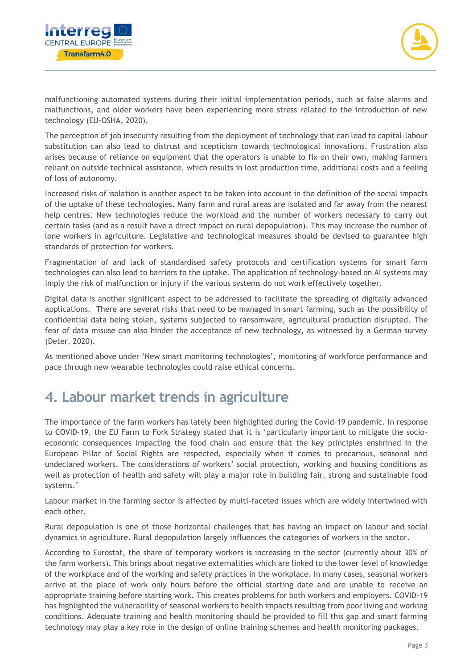



malfunctioning automated systems during their initial implementation periods, such as false alarms and malfunctions, and older workers have been experiencing more stress related to the introduction of new technology (EU-OSHA, 2020).

The perception of job insecurity resulting from the deployment of technology that can lead to capital-labour substitution can also lead to distrust and scepticism towards technological innovations. Frustration also arises because of reliance on equipment that the operators is unable to fix on their own, making farmers reliant on outside technical assistance, which results in lost production time, additional costs and a feeling of loss of autonomy.

Increased risks of isolation is another aspect to be taken into account in the definition of the social impacts of the uptake of these technologies. Many farm and rural areas are isolated and far away from the nearest help centres. New technologies reduce the workload and the number of workers necessary to carry out certain tasks (and as a result have a direct impact on rural depopulation). This may increase the number of lone workers in agriculture. Legislative and technological measures should be devised to guarantee high standards of protection for workers.

Fragmentation of and lack of standardised safety protocols and certification systems for smart farm technologies can also lead to barriers to the uptake. The application of technology-based on AI systems may imply the risk of malfunction or injury if the various systems do not work effectively together.

Digital data is another significant aspect to be addressed to facilitate the spreading of digitally advanced applications. There are several risks that need to be managed in smart farming, such as the possibility of confidential data being stolen, systems subjected to ransomware, agricultural production disrupted. The fear of data misuse can also hinder the acceptance of new technology, as witnessed by a German survey (Deter, 2020).

As mentioned above under 'New smart monitoring technologies', monitoring of workforce performance and pace through new wearable technologies could raise ethical concerns.

# **4. Labour market trends in agriculture**

The importance of the farm workers has lately been highlighted during the Covid-19 pandemic. In response to COVID-19, the EU Farm to Fork Strategy stated that it is 'particularly important to mitigate the socioeconomic consequences impacting the food chain and ensure that the key principles enshrined in the European Pillar of Social Rights are respected, especially when it comes to precarious, seasonal and undeclared workers. The considerations of workers' social protection, working and housing conditions as well as protection of health and safety will play a major role in building fair, strong and sustainable food systems.'

Labour market in the farming sector is affected by multi-faceted issues which are widely intertwined with each other.

Rural depopulation is one of those horizontal challenges that has having an impact on labour and social dynamics in agriculture. Rural depopulation largely influences the categories of workers in the sector.

According to Eurostat, the share of temporary workers is increasing in the sector (currently about 30% of the farm workers). This brings about negative externalities which are linked to the lower level of knowledge of the workplace and of the working and safety practices in the workplace. In many cases, seasonal workers arrive at the place of work only hours before the official starting date and are unable to receive an appropriate training before starting work. This creates problems for both workers and employers. COVID-19 has highlighted the vulnerability of seasonal workers to health impacts resulting from poor living and working conditions. Adequate training and health monitoring should be provided to fill this gap and smart farming technology may play a key role in the design of online training schemes and health monitoring packages.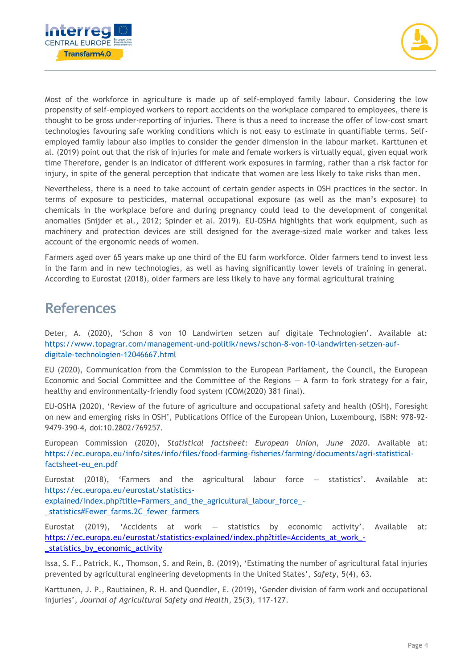



Most of the workforce in agriculture is made up of self-employed family labour. Considering the low propensity of self-employed workers to report accidents on the workplace compared to employees, there is thought to be gross under-reporting of injuries. There is thus a need to increase the offer of low-cost smart technologies favouring safe working conditions which is not easy to estimate in quantifiable terms. Selfemployed family labour also implies to consider the gender dimension in the labour market. Karttunen et al. (2019) point out that the risk of injuries for male and female workers is virtually equal, given equal work time Therefore, gender is an indicator of different work exposures in farming, rather than a risk factor for injury, in spite of the general perception that indicate that women are less likely to take risks than men.

Nevertheless, there is a need to take account of certain gender aspects in OSH practices in the sector. In terms of exposure to pesticides, maternal occupational exposure (as well as the man's exposure) to chemicals in the workplace before and during pregnancy could lead to the development of congenital anomalies (Snijder et al., 2012; Spinder et al. 2019). EU-OSHA highlights that work equipment, such as machinery and protection devices are still designed for the average-sized male worker and takes less account of the ergonomic needs of women.

Farmers aged over 65 years make up one third of the EU farm workforce. Older farmers tend to invest less in the farm and in new technologies, as well as having significantly lower levels of training in general. According to Eurostat (2018), older farmers are less likely to have any formal agricultural training

#### **References**

Deter, A. (2020), 'Schon 8 von 10 Landwirten setzen auf digitale Technologien'. Available at: https://www.topagrar.com/management-und-politik/news/schon-8-von-10-landwirten-setzen-aufdigitale-technologien-12046667.html

EU (2020), Communication from the Commission to the European Parliament, the Council, the European Economic and Social Committee and the Committee of the Regions  $- A$  farm to fork strategy for a fair, healthy and environmentally-friendly food system (COM(2020) 381 final).

EU-OSHA (2020), 'Review of the future of agriculture and occupational safety and health (OSH), Foresight on new and emerging risks in OSH', Publications Office of the European Union, Luxembourg, ISBN: 978-92- 9479-390-4, doi:10.2802/769257.

European Commission (2020), *Statistical factsheet: European Union, June 2020*. Available at: https://ec.europa.eu/info/sites/info/files/food-farming-fisheries/farming/documents/agri-statisticalfactsheet-eu\_en.pdf

Eurostat (2018), 'Farmers and the agricultural labour force — statistics'. Available at: https://ec.europa.eu/eurostat/statisticsexplained/index.php?title=Farmers\_and\_the\_agricultural\_labour\_force\_-

\_statistics#Fewer\_farms.2C\_fewer\_farmers

Eurostat (2019), 'Accidents at work — statistics by economic activity'. Available at: [https://ec.europa.eu/eurostat/statistics-explained/index.php?title=Accidents\\_at\\_work\\_-](https://ec.europa.eu/eurostat/statistics-explained/index.php?title=Accidents_at_work_-_statistics_by_economic_activity) [\\_statistics\\_by\\_economic\\_activity](https://ec.europa.eu/eurostat/statistics-explained/index.php?title=Accidents_at_work_-_statistics_by_economic_activity)

Issa, S. F., Patrick, K., Thomson, S. and Rein, B. (2019), 'Estimating the number of agricultural fatal injuries prevented by agricultural engineering developments in the United States', *Safety*, 5(4), 63.

Karttunen, J. P., Rautiainen, R. H. and Quendler, E. (2019), 'Gender division of farm work and occupational injuries', *Journal of Agricultural Safety and Health*, 25(3), 117-127.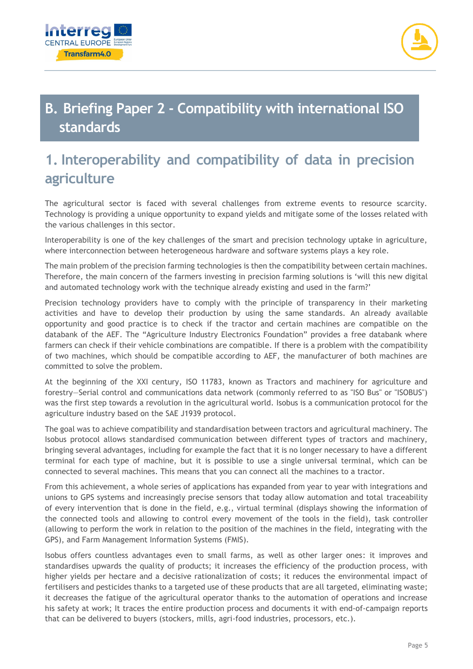



# **B. Briefing Paper 2 - Compatibility with international ISO standards**

# **1. Interoperability and compatibility of data in precision agriculture**

The agricultural sector is faced with several challenges from extreme events to resource scarcity. Technology is providing a unique opportunity to expand yields and mitigate some of the losses related with the various challenges in this sector.

Interoperability is one of the key challenges of the smart and precision technology uptake in agriculture, where interconnection between heterogeneous hardware and software systems plays a key role.

The main problem of the precision farming technologies is then the compatibility between certain machines. Therefore, the main concern of the farmers investing in precision farming solutions is 'will this new digital and automated technology work with the technique already existing and used in the farm?'

Precision technology providers have to comply with the principle of transparency in their marketing activities and have to develop their production by using the same standards. An already available opportunity and good practice is to check if the tractor and certain machines are compatible on the databank of the AEF. The "Agriculture Industry Electronics Foundation" provides a free databank where farmers can check if their vehicle combinations are compatible. If there is a problem with the compatibility of two machines, which should be compatible according to AEF, the manufacturer of both machines are committed to solve the problem.

At the beginning of the XXI century, ISO 11783, known as Tractors and machinery for agriculture and forestry—Serial control and communications data network (commonly referred to as "ISO Bus" or "ISOBUS") was the first step towards a revolution in the agricultural world. Isobus is a communication protocol for the agriculture industry based on the SAE J1939 protocol.

The goal was to achieve compatibility and standardisation between tractors and agricultural machinery. The Isobus protocol allows standardised communication between different types of tractors and machinery, bringing several advantages, including for example the fact that it is no longer necessary to have a different terminal for each type of machine, but it is possible to use a single universal terminal, which can be connected to several machines. This means that you can connect all the machines to a tractor.

From this achievement, a whole series of applications has expanded from year to year with integrations and unions to GPS systems and increasingly precise sensors that today allow automation and total traceability of every intervention that is done in the field, e.g., virtual terminal (displays showing the information of the connected tools and allowing to control every movement of the tools in the field), task controller (allowing to perform the work in relation to the position of the machines in the field, integrating with the GPS), and Farm Management Information Systems (FMIS).

Isobus offers countless advantages even to small farms, as well as other larger ones: it improves and standardises upwards the quality of products; it increases the efficiency of the production process, with higher yields per hectare and a decisive rationalization of costs; it reduces the environmental impact of fertilisers and pesticides thanks to a targeted use of these products that are all targeted, eliminating waste; it decreases the fatigue of the agricultural operator thanks to the automation of operations and increase his safety at work; It traces the entire production process and documents it with end-of-campaign reports that can be delivered to buyers (stockers, mills, agri-food industries, processors, etc.).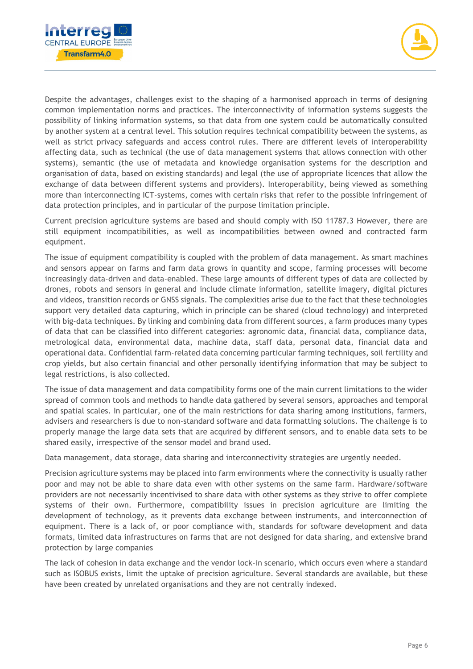



Despite the advantages, challenges exist to the shaping of a harmonised approach in terms of designing common implementation norms and practices. The interconnectivity of information systems suggests the possibility of linking information systems, so that data from one system could be automatically consulted by another system at a central level. This solution requires technical compatibility between the systems, as well as strict privacy safeguards and access control rules. There are different levels of interoperability affecting data, such as technical (the use of data management systems that allows connection with other systems), semantic (the use of metadata and knowledge organisation systems for the description and organisation of data, based on existing standards) and legal (the use of appropriate licences that allow the exchange of data between different systems and providers). Interoperability, being viewed as something more than interconnecting ICT-systems, comes with certain risks that refer to the possible infringement of data protection principles, and in particular of the purpose limitation principle.

Current precision agriculture systems are based and should comply with ISO 11787.3 However, there are still equipment incompatibilities, as well as incompatibilities between owned and contracted farm equipment.

The issue of equipment compatibility is coupled with the problem of data management. As smart machines and sensors appear on farms and farm data grows in quantity and scope, farming processes will become increasingly data-driven and data-enabled. These large amounts of different types of data are collected by drones, robots and sensors in general and include climate information, satellite imagery, digital pictures and videos, transition records or GNSS signals. The complexities arise due to the fact that these technologies support very detailed data capturing, which in principle can be shared (cloud technology) and interpreted with big-data techniques. By linking and combining data from different sources, a farm produces many types of data that can be classified into different categories: agronomic data, financial data, compliance data, metrological data, environmental data, machine data, staff data, personal data, financial data and operational data. Confidential farm-related data concerning particular farming techniques, soil fertility and crop yields, but also certain financial and other personally identifying information that may be subject to legal restrictions, is also collected.

The issue of data management and data compatibility forms one of the main current limitations to the wider spread of common tools and methods to handle data gathered by several sensors, approaches and temporal and spatial scales. In particular, one of the main restrictions for data sharing among institutions, farmers, advisers and researchers is due to non-standard software and data formatting solutions. The challenge is to properly manage the large data sets that are acquired by different sensors, and to enable data sets to be shared easily, irrespective of the sensor model and brand used.

Data management, data storage, data sharing and interconnectivity strategies are urgently needed.

Precision agriculture systems may be placed into farm environments where the connectivity is usually rather poor and may not be able to share data even with other systems on the same farm. Hardware/software providers are not necessarily incentivised to share data with other systems as they strive to offer complete systems of their own. Furthermore, compatibility issues in precision agriculture are limiting the development of technology, as it prevents data exchange between instruments, and interconnection of equipment. There is a lack of, or poor compliance with, standards for software development and data formats, limited data infrastructures on farms that are not designed for data sharing, and extensive brand protection by large companies

The lack of cohesion in data exchange and the vendor lock-in scenario, which occurs even where a standard such as ISOBUS exists, limit the uptake of precision agriculture. Several standards are available, but these have been created by unrelated organisations and they are not centrally indexed.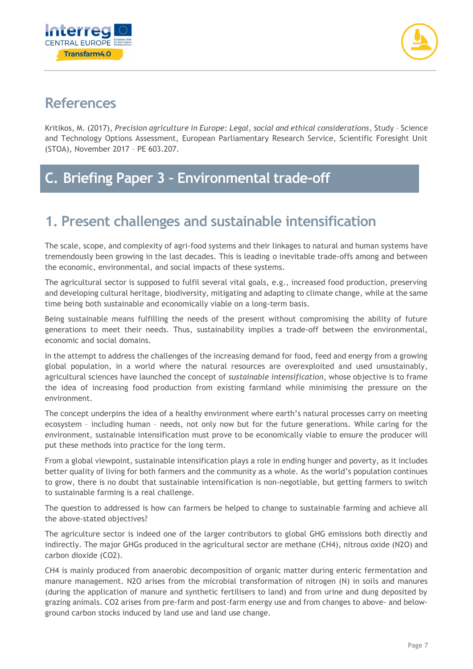



#### **References**

Kritikos, M. (2017), *Precision agriculture in Europe: Legal, social and ethical considerations*, Study – Science and Technology Options Assessment, European Parliamentary Research Service, Scientific Foresight Unit (STOA), November 2017 – PE 603.207.

# **C. Briefing Paper 3 – Environmental trade-off**

# **1. Present challenges and sustainable intensification**

The scale, scope, and complexity of agri-food systems and their linkages to natural and human systems have tremendously been growing in the last decades. This is leading o inevitable trade-offs among and between the economic, environmental, and social impacts of these systems.

The agricultural sector is supposed to fulfil several vital goals, e.g., increased food production, preserving and developing cultural heritage, biodiversity, mitigating and adapting to climate change, while at the same time being both sustainable and economically viable on a long-term basis.

Being sustainable means fulfilling the needs of the present without compromising the ability of future generations to meet their needs. Thus, sustainability implies a trade-off between the environmental, economic and social domains.

In the attempt to address the challenges of the increasing demand for food, feed and energy from a growing global population, in a world where the natural resources are overexploited and used unsustainably, agricultural sciences have launched the concept of *sustainable intensification*, whose objective is to frame the idea of increasing food production from existing farmland while minimising the pressure on the environment.

The concept underpins the idea of a healthy environment where earth's natural processes carry on meeting ecosystem – including human – needs, not only now but for the future generations. While caring for the environment, sustainable intensification must prove to be economically viable to ensure the producer will put these methods into practice for the long term.

From a global viewpoint, sustainable intensification plays a role in ending hunger and poverty, as it includes better quality of living for both farmers and the community as a whole. As the world's population continues to grow, there is no doubt that sustainable intensification is non-negotiable, but getting farmers to switch to sustainable farming is a real challenge.

The question to addressed is how can farmers be helped to change to sustainable farming and achieve all the above-stated objectives?

The agriculture sector is indeed one of the larger contributors to global GHG emissions both directly and indirectly. The major GHGs produced in the agricultural sector are methane (CH4), nitrous oxide (N2O) and carbon dioxide (CO2).

CH4 is mainly produced from anaerobic decomposition of organic matter during enteric fermentation and manure management. N2O arises from the microbial transformation of nitrogen (N) in soils and manures (during the application of manure and synthetic fertilisers to land) and from urine and dung deposited by grazing animals. CO2 arises from pre-farm and post-farm energy use and from changes to above- and belowground carbon stocks induced by land use and land use change.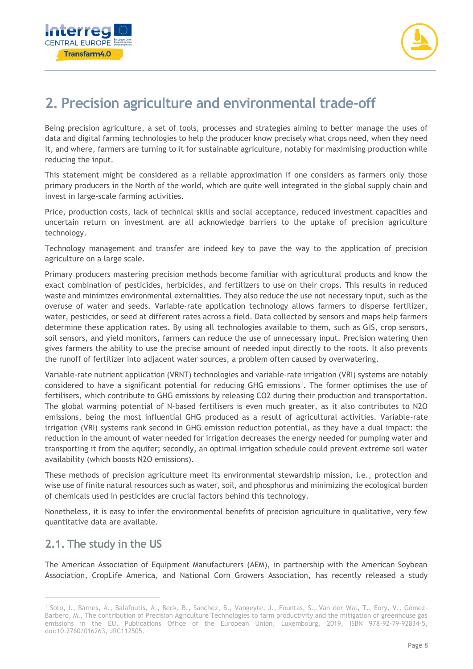



# **2. Precision agriculture and environmental trade-off**

Being precision agriculture, a set of tools, processes and strategies aiming to better manage the uses of data and digital farming technologies to help the producer know precisely what crops need, when they need it, and where, farmers are turning to it for sustainable agriculture, notably for maximising production while reducing the input.

This statement might be considered as a reliable approximation if one considers as farmers only those primary producers in the North of the world, which are quite well integrated in the global supply chain and invest in large-scale farming activities.

Price, production costs, lack of technical skills and social acceptance, reduced investment capacities and uncertain return on investment are all acknowledge barriers to the uptake of precision agriculture technology.

Technology management and transfer are indeed key to pave the way to the application of precision agriculture on a large scale.

Primary producers mastering precision methods become familiar with agricultural products and know the exact combination of pesticides, herbicides, and fertilizers to use on their crops. This results in reduced waste and minimizes environmental externalities. They also reduce the use not necessary input, such as the overuse of water and seeds. Variable-rate application technology allows farmers to disperse fertilizer, water, pesticides, or seed at different rates across a field. Data collected by sensors and maps help farmers determine these application rates. By using all technologies available to them, such as GIS, crop sensors, soil sensors, and yield monitors, farmers can reduce the use of unnecessary input. Precision watering then gives farmers the ability to use the precise amount of needed input directly to the roots. It also prevents the runoff of fertilizer into adjacent water sources, a problem often caused by overwatering.

Variable-rate nutrient application (VRNT) technologies and variable-rate irrigation (VRI) systems are notably considered to have a significant potential for reducing GHG emissions<sup>1</sup>. The former optimises the use of fertilisers, which contribute to GHG emissions by releasing CO2 during their production and transportation. The global warming potential of N-based fertilisers is even much greater, as it also contributes to N2O emissions, being the most influential GHG produced as a result of agricultural activities. Variable-rate irrigation (VRI) systems rank second in GHG emission reduction potential, as they have a dual impact: the reduction in the amount of water needed for irrigation decreases the energy needed for pumping water and transporting it from the aquifer; secondly, an optimal irrigation schedule could prevent extreme soil water availability (which boosts N2O emissions).

These methods of precision agriculture meet its environmental stewardship mission, i.e., protection and wise use of finite natural resources such as water, soil, and phosphorus and minimizing the ecological burden of chemicals used in pesticides are crucial factors behind this technology.

Nonetheless, it is easy to infer the environmental benefits of precision agriculture in qualitative, very few quantitative data are available.

#### **2.1. The study in the US**

The American Association of Equipment Manufacturers (AEM), in partnership with the American Soybean Association, CropLife America, and National Corn Growers Association, has recently released a study

<sup>1</sup> Soto, I., Barnes, A., Balafoutis, A., Beck, B., Sanchez, B., Vangeyte, J., Fountas, S., Van der Wal, T., Eory, V., Gómez-Barbero, M., The contribution of Precision Agriculture Technologies to farm productivity and the mitigation of greenhouse gas emissions in the EU, Publications Office of the European Union, Luxembourg, 2019, ISBN 978-92-79-92834-5, doi:10.2760/016263, JRC112505.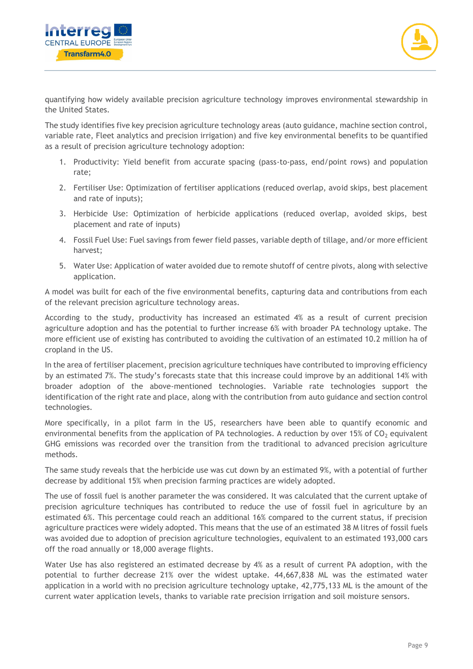



quantifying how widely available precision agriculture technology improves environmental stewardship in the United States.

The study identifies five key precision agriculture technology areas (auto guidance, machine section control, variable rate, Fleet analytics and precision irrigation) and five key environmental benefits to be quantified as a result of precision agriculture technology adoption:

- 1. Productivity: Yield benefit from accurate spacing (pass-to-pass, end/point rows) and population rate;
- 2. Fertiliser Use: Optimization of fertiliser applications (reduced overlap, avoid skips, best placement and rate of inputs);
- 3. Herbicide Use: Optimization of herbicide applications (reduced overlap, avoided skips, best placement and rate of inputs)
- 4. Fossil Fuel Use: Fuel savings from fewer field passes, variable depth of tillage, and/or more efficient harvest;
- 5. Water Use: Application of water avoided due to remote shutoff of centre pivots, along with selective application.

A model was built for each of the five environmental benefits, capturing data and contributions from each of the relevant precision agriculture technology areas.

According to the study, productivity has increased an estimated 4% as a result of current precision agriculture adoption and has the potential to further increase 6% with broader PA technology uptake. The more efficient use of existing has contributed to avoiding the cultivation of an estimated 10.2 million ha of cropland in the US.

In the area of fertiliser placement, precision agriculture techniques have contributed to improving efficiency by an estimated 7%. The study's forecasts state that this increase could improve by an additional 14% with broader adoption of the above-mentioned technologies. Variable rate technologies support the identification of the right rate and place, along with the contribution from auto guidance and section control technologies.

More specifically, in a pilot farm in the US, researchers have been able to quantify economic and environmental benefits from the application of PA technologies. A reduction by over 15% of  $CO<sub>2</sub>$  equivalent GHG emissions was recorded over the transition from the traditional to advanced precision agriculture methods.

The same study reveals that the herbicide use was cut down by an estimated 9%, with a potential of further decrease by additional 15% when precision farming practices are widely adopted.

The use of fossil fuel is another parameter the was considered. It was calculated that the current uptake of precision agriculture techniques has contributed to reduce the use of fossil fuel in agriculture by an estimated 6%. This percentage could reach an additional 16% compared to the current status, if precision agriculture practices were widely adopted. This means that the use of an estimated 38 M litres of fossil fuels was avoided due to adoption of precision agriculture technologies, equivalent to an estimated 193,000 cars off the road annually or 18,000 average flights.

Water Use has also registered an estimated decrease by 4% as a result of current PA adoption, with the potential to further decrease 21% over the widest uptake. 44,667,838 ML was the estimated water application in a world with no precision agriculture technology uptake, 42,775,133 ML is the amount of the current water application levels, thanks to variable rate precision irrigation and soil moisture sensors.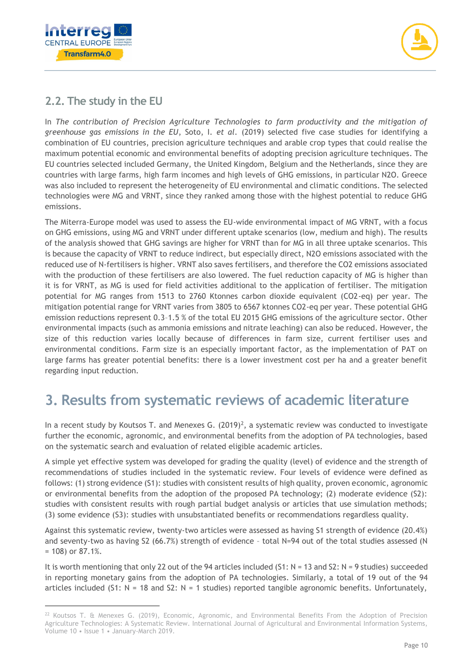



#### **2.2. The study in the EU**

In *The contribution of Precision Agriculture Technologies to farm productivity and the mitigation of greenhouse gas emissions in the EU*, Soto, I. *et al.* (2019) selected five case studies for identifying a combination of EU countries, precision agriculture techniques and arable crop types that could realise the maximum potential economic and environmental benefits of adopting precision agriculture techniques. The EU countries selected included Germany, the United Kingdom, Belgium and the Netherlands, since they are countries with large farms, high farm incomes and high levels of GHG emissions, in particular N2O. Greece was also included to represent the heterogeneity of EU environmental and climatic conditions. The selected technologies were MG and VRNT, since they ranked among those with the highest potential to reduce GHG emissions.

The Miterra-Europe model was used to assess the EU-wide environmental impact of MG VRNT, with a focus on GHG emissions, using MG and VRNT under different uptake scenarios (low, medium and high). The results of the analysis showed that GHG savings are higher for VRNT than for MG in all three uptake scenarios. This is because the capacity of VRNT to reduce indirect, but especially direct, N2O emissions associated with the reduced use of N-fertilisers is higher. VRNT also saves fertilisers, and therefore the CO2 emissions associated with the production of these fertilisers are also lowered. The fuel reduction capacity of MG is higher than it is for VRNT, as MG is used for field activities additional to the application of fertiliser. The mitigation potential for MG ranges from 1513 to 2760 Ktonnes carbon dioxide equivalent (CO2-eq) per year. The mitigation potential range for VRNT varies from 3805 to 6567 ktonnes CO2-eq per year. These potential GHG emission reductions represent 0.3–1.5 % of the total EU 2015 GHG emissions of the agriculture sector. Other environmental impacts (such as ammonia emissions and nitrate leaching) can also be reduced. However, the size of this reduction varies locally because of differences in farm size, current fertiliser uses and environmental conditions. Farm size is an especially important factor, as the implementation of PAT on large farms has greater potential benefits: there is a lower investment cost per ha and a greater benefit regarding input reduction.

### **3. Results from systematic reviews of academic literature**

In a recent study by Koutsos T. and Menexes G.  $(2019)^2$ , a systematic review was conducted to investigate further the economic, agronomic, and environmental benefits from the adoption of PA technologies, based on the systematic search and evaluation of related eligible academic articles.

A simple yet effective system was developed for grading the quality (level) of evidence and the strength of recommendations of studies included in the systematic review. Four levels of evidence were defined as follows: (1) strong evidence (S1): studies with consistent results of high quality, proven economic, agronomic or environmental benefits from the adoption of the proposed PA technology; (2) moderate evidence (S2): studies with consistent results with rough partial budget analysis or articles that use simulation methods; (3) some evidence (S3): studies with unsubstantiated benefits or recommendations regardless quality.

Against this systematic review, twenty-two articles were assessed as having S1 strength of evidence (20.4%) and seventy-two as having S2 (66.7%) strength of evidence - total N=94 out of the total studies assessed (N = 108) or 87.1%.

It is worth mentioning that only 22 out of the 94 articles included (S1: N = 13 and S2: N = 9 studies) succeeded in reporting monetary gains from the adoption of PA technologies. Similarly, a total of 19 out of the 94 articles included (S1:  $N = 18$  and S2:  $N = 1$  studies) reported tangible agronomic benefits. Unfortunately,

<sup>&</sup>lt;sup>22</sup> Koutsos T. & Menexes G. (2019), Economic, Agronomic, and Environmental Benefits From the Adoption of Precision Agriculture Technologies: A Systematic Review. International Journal of Agricultural and Environmental Information Systems, Volume 10 • Issue 1 • January-March 2019.